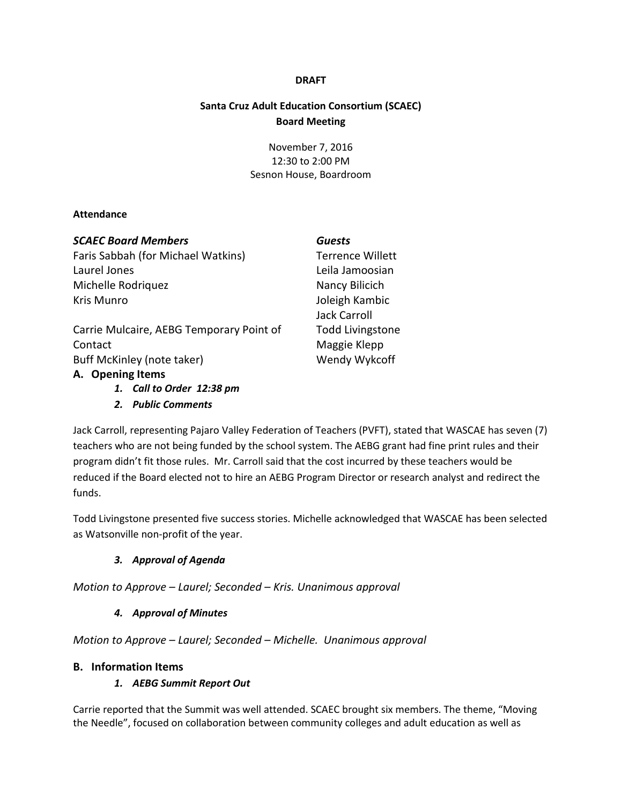### **DRAFT**

# **Santa Cruz Adult Education Consortium (SCAEC) Board Meeting**

November 7, 2016 12:30 to 2:00 PM Sesnon House, Boardroom

#### **Attendance**

| <b>SCAEC Board Members</b>               | <b>Guests</b>           |
|------------------------------------------|-------------------------|
| Faris Sabbah (for Michael Watkins)       | <b>Terrence Willett</b> |
| Laurel Jones                             | Leila Jamoosian         |
| Michelle Rodriquez                       | Nancy Bilicich          |
| Kris Munro                               | Joleigh Kambic          |
|                                          | Jack Carroll            |
| Carrie Mulcaire, AEBG Temporary Point of | <b>Todd Livingstone</b> |
| Contact                                  | Maggie Klepp            |
| Buff McKinley (note taker)               | Wendy Wykcoff           |
| A. Opening Items                         |                         |

Jack Carroll, representin[g Pajaro Valley Federation of Teachers](http://www.pvft.net/) (PVFT), stated that WASCAE has seven (7) teachers who are not being funded by the school system. The AEBG grant had fine print rules and their program didn't fit those rules. Mr. Carroll said that the cost incurred by these teachers would be reduced if the Board elected not to hire an AEBG Program Director or research analyst and redirect the funds.

Todd Livingstone presented five success stories. Michelle acknowledged that WASCAE has been selected as Watsonville non-profit of the year.

### *3. Approval of Agenda*

*1. Call to Order 12:38 pm 2. Public Comments*

*Motion to Approve – Laurel; Seconded – Kris. Unanimous approval*

### *4. Approval of Minutes*

*Motion to Approve – Laurel; Seconded – Michelle. Unanimous approval*

### **B. Information Items**

### *1. AEBG Summit Report Out*

Carrie reported that the Summit was well attended. SCAEC brought six members. The theme, "Moving the Needle", focused on collaboration between community colleges and adult education as well as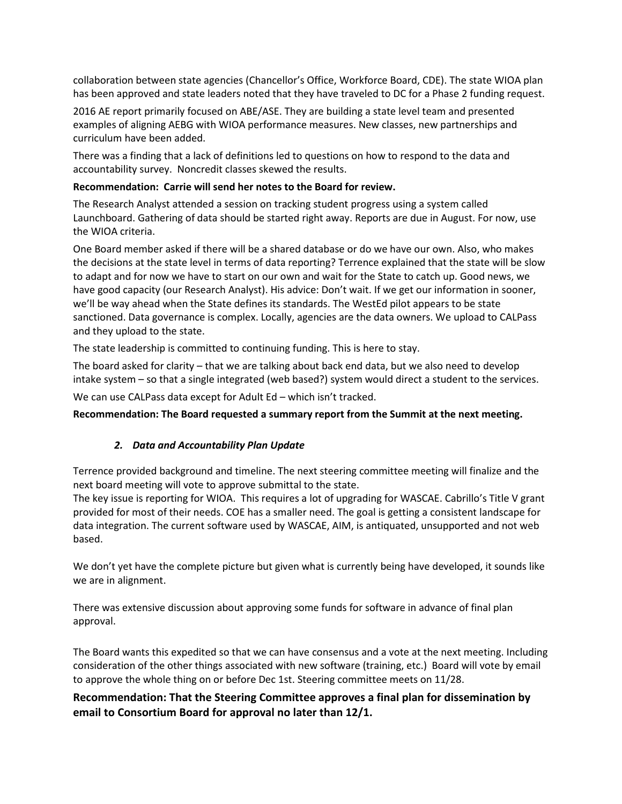collaboration between state agencies (Chancellor's Office, Workforce Board, CDE). The state WIOA plan has been approved and state leaders noted that they have traveled to DC for a Phase 2 funding request.

2016 AE report primarily focused on ABE/ASE. They are building a state level team and presented examples of aligning AEBG with WIOA performance measures. New classes, new partnerships and curriculum have been added.

There was a finding that a lack of definitions led to questions on how to respond to the data and accountability survey. Noncredit classes skewed the results.

### **Recommendation: Carrie will send her notes to the Board for review.**

The Research Analyst attended a session on tracking student progress using a system called Launchboard. Gathering of data should be started right away. Reports are due in August. For now, use the WIOA criteria.

One Board member asked if there will be a shared database or do we have our own. Also, who makes the decisions at the state level in terms of data reporting? Terrence explained that the state will be slow to adapt and for now we have to start on our own and wait for the State to catch up. Good news, we have good capacity (our Research Analyst). His advice: Don't wait. If we get our information in sooner, we'll be way ahead when the State defines its standards. The WestEd pilot appears to be state sanctioned. Data governance is complex. Locally, agencies are the data owners. We upload to CALPass and they upload to the state.

The state leadership is committed to continuing funding. This is here to stay.

The board asked for clarity – that we are talking about back end data, but we also need to develop intake system – so that a single integrated (web based?) system would direct a student to the services.

We can use CALPass data except for Adult Ed – which isn't tracked.

### **Recommendation: The Board requested a summary report from the Summit at the next meeting.**

### *2. Data and Accountability Plan Update*

Terrence provided background and timeline. The next steering committee meeting will finalize and the next board meeting will vote to approve submittal to the state.

The key issue is reporting for WIOA. This requires a lot of upgrading for WASCAE. Cabrillo's Title V grant provided for most of their needs. COE has a smaller need. The goal is getting a consistent landscape for data integration. The current software used by WASCAE, AIM, is antiquated, unsupported and not web based.

We don't yet have the complete picture but given what is currently being have developed, it sounds like we are in alignment.

There was extensive discussion about approving some funds for software in advance of final plan approval.

The Board wants this expedited so that we can have consensus and a vote at the next meeting. Including consideration of the other things associated with new software (training, etc.) Board will vote by email to approve the whole thing on or before Dec 1st. Steering committee meets on 11/28.

# **Recommendation: That the Steering Committee approves a final plan for dissemination by email to Consortium Board for approval no later than 12/1.**